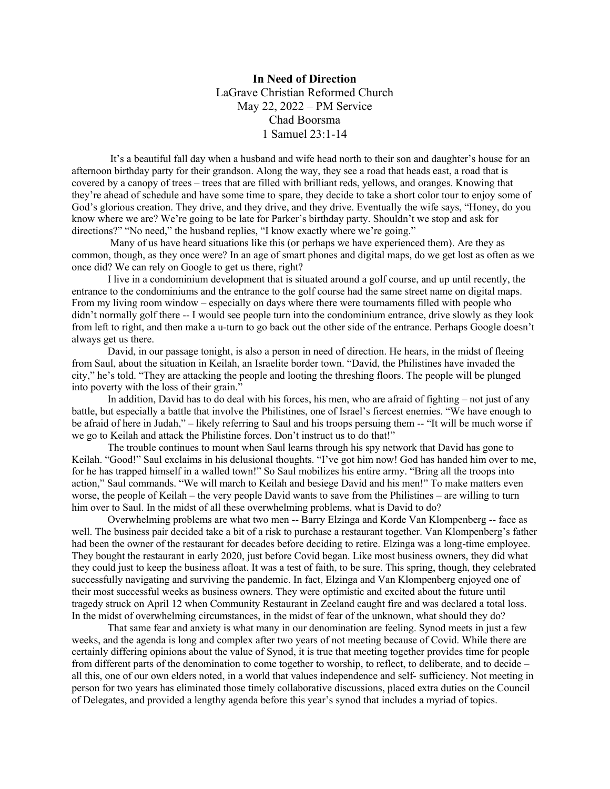**In Need of Direction** LaGrave Christian Reformed Church May 22, 2022 – PM Service Chad Boorsma 1 Samuel 23:1-14

It's a beautiful fall day when a husband and wife head north to their son and daughter's house for an afternoon birthday party for their grandson. Along the way, they see a road that heads east, a road that is covered by a canopy of trees – trees that are filled with brilliant reds, yellows, and oranges. Knowing that they're ahead of schedule and have some time to spare, they decide to take a short color tour to enjoy some of God's glorious creation. They drive, and they drive, and they drive. Eventually the wife says, "Honey, do you know where we are? We're going to be late for Parker's birthday party. Shouldn't we stop and ask for directions?" "No need," the husband replies, "I know exactly where we're going."

Many of us have heard situations like this (or perhaps we have experienced them). Are they as common, though, as they once were? In an age of smart phones and digital maps, do we get lost as often as we once did? We can rely on Google to get us there, right?

I live in a condominium development that is situated around a golf course, and up until recently, the entrance to the condominiums and the entrance to the golf course had the same street name on digital maps. From my living room window – especially on days where there were tournaments filled with people who didn't normally golf there -- I would see people turn into the condominium entrance, drive slowly as they look from left to right, and then make a u-turn to go back out the other side of the entrance. Perhaps Google doesn't always get us there.

David, in our passage tonight, is also a person in need of direction. He hears, in the midst of fleeing from Saul, about the situation in Keilah, an Israelite border town. "David, the Philistines have invaded the city," he's told. "They are attacking the people and looting the threshing floors. The people will be plunged into poverty with the loss of their grain."

In addition, David has to do deal with his forces, his men, who are afraid of fighting – not just of any battle, but especially a battle that involve the Philistines, one of Israel's fiercest enemies. "We have enough to be afraid of here in Judah," – likely referring to Saul and his troops persuing them -- "It will be much worse if we go to Keilah and attack the Philistine forces. Don't instruct us to do that!"

The trouble continues to mount when Saul learns through his spy network that David has gone to Keilah. "Good!" Saul exclaims in his delusional thoughts. "I've got him now! God has handed him over to me, for he has trapped himself in a walled town!" So Saul mobilizes his entire army. "Bring all the troops into action," Saul commands. "We will march to Keilah and besiege David and his men!" To make matters even worse, the people of Keilah – the very people David wants to save from the Philistines – are willing to turn him over to Saul. In the midst of all these overwhelming problems, what is David to do?

Overwhelming problems are what two men -- Barry Elzinga and Korde Van Klompenberg -- face as well. The business pair decided take a bit of a risk to purchase a restaurant together. Van Klompenberg's father had been the owner of the restaurant for decades before deciding to retire. Elzinga was a long-time employee. They bought the restaurant in early 2020, just before Covid began. Like most business owners, they did what they could just to keep the business afloat. It was a test of faith, to be sure. This spring, though, they celebrated successfully navigating and surviving the pandemic. In fact, Elzinga and Van Klompenberg enjoyed one of their most successful weeks as business owners. They were optimistic and excited about the future until tragedy struck on April 12 when Community Restaurant in Zeeland caught fire and was declared a total loss. In the midst of overwhelming circumstances, in the midst of fear of the unknown, what should they do?

That same fear and anxiety is what many in our denomination are feeling. Synod meets in just a few weeks, and the agenda is long and complex after two years of not meeting because of Covid. While there are certainly differing opinions about the value of Synod, it is true that meeting together provides time for people from different parts of the denomination to come together to worship, to reflect, to deliberate, and to decide – all this, one of our own elders noted, in a world that values independence and self- sufficiency. Not meeting in person for two years has eliminated those timely collaborative discussions, placed extra duties on the Council of Delegates, and provided a lengthy agenda before this year's synod that includes a myriad of topics.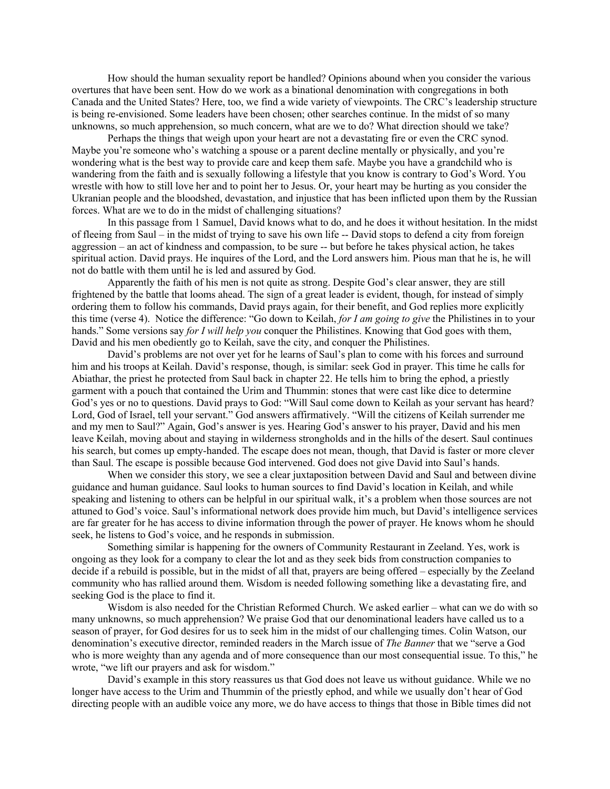How should the human sexuality report be handled? Opinions abound when you consider the various overtures that have been sent. How do we work as a binational denomination with congregations in both Canada and the United States? Here, too, we find a wide variety of viewpoints. The CRC's leadership structure is being re-envisioned. Some leaders have been chosen; other searches continue. In the midst of so many unknowns, so much apprehension, so much concern, what are we to do? What direction should we take?

Perhaps the things that weigh upon your heart are not a devastating fire or even the CRC synod. Maybe you're someone who's watching a spouse or a parent decline mentally or physically, and you're wondering what is the best way to provide care and keep them safe. Maybe you have a grandchild who is wandering from the faith and is sexually following a lifestyle that you know is contrary to God's Word. You wrestle with how to still love her and to point her to Jesus. Or, your heart may be hurting as you consider the Ukranian people and the bloodshed, devastation, and injustice that has been inflicted upon them by the Russian forces. What are we to do in the midst of challenging situations?

In this passage from 1 Samuel, David knows what to do, and he does it without hesitation. In the midst of fleeing from Saul – in the midst of trying to save his own life -- David stops to defend a city from foreign aggression – an act of kindness and compassion, to be sure -- but before he takes physical action, he takes spiritual action. David prays. He inquires of the Lord, and the Lord answers him. Pious man that he is, he will not do battle with them until he is led and assured by God.

Apparently the faith of his men is not quite as strong. Despite God's clear answer, they are still frightened by the battle that looms ahead. The sign of a great leader is evident, though, for instead of simply ordering them to follow his commands, David prays again, for their benefit, and God replies more explicitly this time (verse 4). Notice the difference: "Go down to Keilah, *for I am going to give* the Philistines in to your hands." Some versions say *for I will help you* conquer the Philistines. Knowing that God goes with them, David and his men obediently go to Keilah, save the city, and conquer the Philistines.

David's problems are not over yet for he learns of Saul's plan to come with his forces and surround him and his troops at Keilah. David's response, though, is similar: seek God in prayer. This time he calls for Abiathar, the priest he protected from Saul back in chapter 22. He tells him to bring the ephod, a priestly garment with a pouch that contained the Urim and Thummin: stones that were cast like dice to determine God's yes or no to questions. David prays to God: "Will Saul come down to Keilah as your servant has heard? Lord, God of Israel, tell your servant." God answers affirmatively. "Will the citizens of Keilah surrender me and my men to Saul?" Again, God's answer is yes. Hearing God's answer to his prayer, David and his men leave Keilah, moving about and staying in wilderness strongholds and in the hills of the desert. Saul continues his search, but comes up empty-handed. The escape does not mean, though, that David is faster or more clever than Saul. The escape is possible because God intervened. God does not give David into Saul's hands.

When we consider this story, we see a clear juxtaposition between David and Saul and between divine guidance and human guidance. Saul looks to human sources to find David's location in Keilah, and while speaking and listening to others can be helpful in our spiritual walk, it's a problem when those sources are not attuned to God's voice. Saul's informational network does provide him much, but David's intelligence services are far greater for he has access to divine information through the power of prayer. He knows whom he should seek, he listens to God's voice, and he responds in submission.

Something similar is happening for the owners of Community Restaurant in Zeeland. Yes, work is ongoing as they look for a company to clear the lot and as they seek bids from construction companies to decide if a rebuild is possible, but in the midst of all that, prayers are being offered – especially by the Zeeland community who has rallied around them. Wisdom is needed following something like a devastating fire, and seeking God is the place to find it.

Wisdom is also needed for the Christian Reformed Church. We asked earlier – what can we do with so many unknowns, so much apprehension? We praise God that our denominational leaders have called us to a season of prayer, for God desires for us to seek him in the midst of our challenging times. Colin Watson, our denomination's executive director, reminded readers in the March issue of *The Banner* that we "serve a God who is more weighty than any agenda and of more consequence than our most consequential issue. To this," he wrote, "we lift our prayers and ask for wisdom."

David's example in this story reassures us that God does not leave us without guidance. While we no longer have access to the Urim and Thummin of the priestly ephod, and while we usually don't hear of God directing people with an audible voice any more, we do have access to things that those in Bible times did not